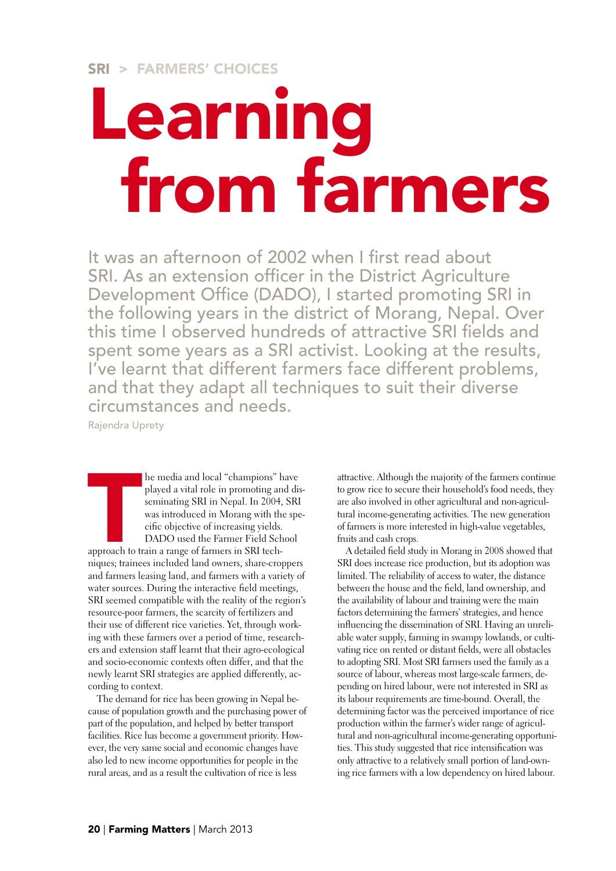## Learning from farmers

It was an afternoon of 2002 when I first read about SRI. As an extension officer in the District Agriculture Development Office (DADO), I started promoting SRI in the following years in the district of Morang, Nepal. Over this time I observed hundreds of attractive SRI fields and spent some years as a SRI activist. Looking at the results, I've learnt that different farmers face different problems, and that they adapt all techniques to suit their diverse circumstances and needs.

Rajendra Uprety

he media and local "champions" have played a vital role in promoting and disseminating SRI in Nepal. In 2004, SRI was introduced in Morang with the specific objective of increasing yields. DADO used the Farmer Field School

**THE CONSUMER** approach to train a range of farmers in SRI techniques; trainees included land owners, share-croppers and farmers leasing land, and farmers with a variety of water sources. During the interactive field meetings, SRI seemed compatible with the reality of the region's resource-poor farmers, the scarcity of fertilizers and their use of different rice varieties. Yet, through working with these farmers over a period of time, researchers and extension staff learnt that their agro-ecological and socio-economic contexts often differ, and that the newly learnt SRI strategies are applied differently, according to context.

The demand for rice has been growing in Nepal because of population growth and the purchasing power of part of the population, and helped by better transport facilities. Rice has become a government priority. However, the very same social and economic changes have also led to new income opportunities for people in the rural areas, and as a result the cultivation of rice is less

attractive. Although the majority of the farmers continue to grow rice to secure their household's food needs, they are also involved in other agricultural and non-agricultural income-generating activities. The new generation of farmers is more interested in high-value vegetables, fruits and cash crops.

A detailed field study in Morang in 2008 showed that SRI does increase rice production, but its adoption was limited. The reliability of access to water, the distance between the house and the field, land ownership, and the availability of labour and training were the main factors determining the farmers' strategies, and hence influencing the dissemination of SRI. Having an unreliable water supply, farming in swampy lowlands, or cultivating rice on rented or distant fields, were all obstacles to adopting SRI. Most SRI farmers used the family as a source of labour, whereas most large-scale farmers, depending on hired labour, were not interested in SRI as its labour requirements are time-bound. Overall, the determining factor was the perceived importance of rice production within the farmer's wider range of agricultural and non-agricultural income-generating opportunities. This study suggested that rice intensification was only attractive to a relatively small portion of land-owning rice farmers with a low dependency on hired labour.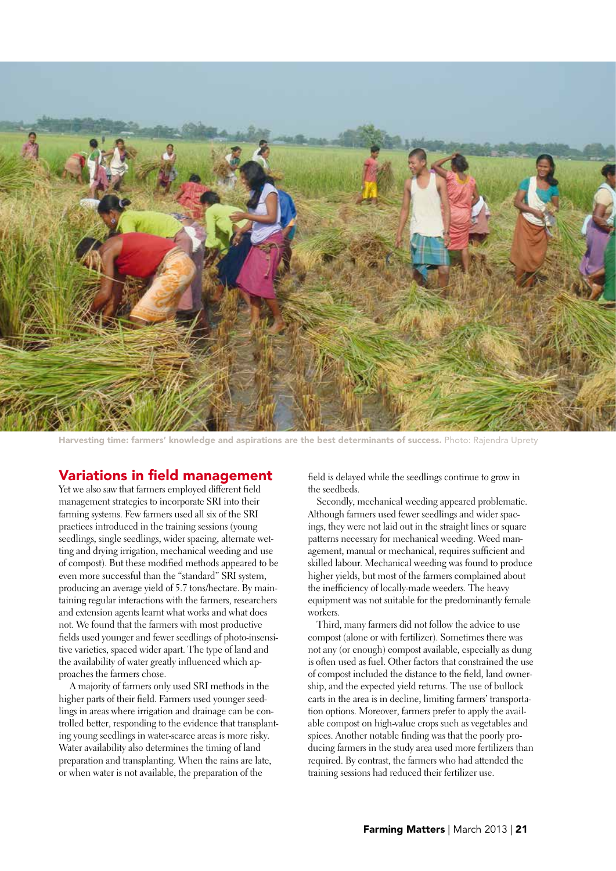

Harvesting time: farmers' knowledge and aspirations are the best determinants of success. Photo: Rajendra Uprety

## Variations in field management

Yet we also saw that farmers employed different field management strategies to incorporate SRI into their farming systems. Few farmers used all six of the SRI practices introduced in the training sessions (young seedlings, single seedlings, wider spacing, alternate wetting and drying irrigation, mechanical weeding and use of compost). But these modified methods appeared to be even more successful than the "standard" SRI system, producing an average yield of 5.7 tons/hectare. By maintaining regular interactions with the farmers, researchers and extension agents learnt what works and what does not. We found that the farmers with most productive fields used younger and fewer seedlings of photo-insensitive varieties, spaced wider apart. The type of land and the availability of water greatly influenced which approaches the farmers chose.

 A majority of farmers only used SRI methods in the higher parts of their field. Farmers used younger seedlings in areas where irrigation and drainage can be controlled better, responding to the evidence that transplanting young seedlings in water-scarce areas is more risky. Water availability also determines the timing of land preparation and transplanting. When the rains are late, or when water is not available, the preparation of the

field is delayed while the seedlings continue to grow in the seedbeds.

Secondly, mechanical weeding appeared problematic. Although farmers used fewer seedlings and wider spacings, they were not laid out in the straight lines or square patterns necessary for mechanical weeding. Weed management, manual or mechanical, requires sufficient and skilled labour. Mechanical weeding was found to produce higher yields, but most of the farmers complained about the inefficiency of locally-made weeders. The heavy equipment was not suitable for the predominantly female workers.

Third, many farmers did not follow the advice to use compost (alone or with fertilizer). Sometimes there was not any (or enough) compost available, especially as dung is often used as fuel. Other factors that constrained the use of compost included the distance to the field, land ownership, and the expected yield returns. The use of bullock carts in the area is in decline, limiting farmers' transportation options. Moreover, farmers prefer to apply the available compost on high-value crops such as vegetables and spices. Another notable finding was that the poorly producing farmers in the study area used more fertilizers than required. By contrast, the farmers who had attended the training sessions had reduced their fertilizer use.